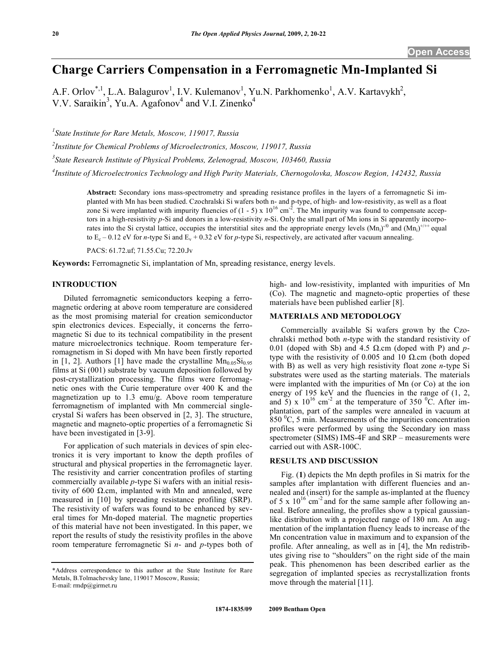# **Charge Carriers Compensation in a Ferromagnetic Mn-Implanted Si**

A.F. Orlov<sup>\*, 1</sup>, L.A. Balagurov<sup>1</sup>, I.V. Kulemanov<sup>1</sup>, Yu.N. Parkhomenko<sup>1</sup>, A.V. Kartavykh<sup>2</sup>, V.V. Saraikin<sup>3</sup>, Yu.A. Agafonov<sup>4</sup> and V.I. Zinenko<sup>4</sup>

*1 State Institute for Rare Metals, Moscow, 119017, Russia* 

*2 Institute for Chemical Problems of Microelectronics, Moscow, 119017, Russia* 

*3 State Research Institute of Physical Problems, Zelenograd, Moscow, 103460, Russia* 

*4 Institute of Microelectronics Technology and High Purity Materials, Chernogolovka, Moscow Region, 142432, Russia* 

**Abstract:** Secondary ions mass-spectrometry and spreading resistance profiles in the layers of a ferromagnetic Si implanted with Mn has been studied. Czochralski Si wafers both n- and p-type, of high- and low-resistivity, as well as a float zone Si were implanted with impurity fluencies of  $(1 - 5)$  x  $10^{16}$  cm<sup>-2</sup>. The Mn impurity was found to compensate acceptors in a high-resistivity *p*-Si and donors in a low-resistivity *n*-Si. Only the small part of Mn ions in Si apparently incorporates into the Si crystal lattice, occupies the interstitial sites and the appropriate energy levels  $(Mn_i)^{1/0}$  and  $(Mn_i)^{1/1+1}$  equal to  $E_c - 0.12$  eV for *n*-type Si and  $E_v + 0.32$  eV for *p*-type Si, respectively, are activated after vacuum annealing.

PACS: 61.72.uf; 71.55.Cu; 72.20.Jv

**Keywords:** Ferromagnetic Si, implantation of Mn, spreading resistance, energy levels.

#### **INTRODUCTION**

 Diluted ferromagnetic semiconductors keeping a ferromagnetic ordering at above room temperature are considered as the most promising material for creation semiconductor spin electronics devices. Especially, it concerns the ferromagnetic Si due to its technical compatibility in the present mature microelectronics technique. Room temperature ferromagnetism in Si doped with Mn have been firstly reported in [1, 2]. Authors [1] have made the crystalline  $Mn_{0.05}Si_{0.95}$ films at Si (001) substrate by vacuum deposition followed by post-crystallization processing. The films were ferromagnetic ones with the Curie temperature over 400 K and the magnetization up to 1.3 emu/g. Above room temperature ferromagnetism of implanted with Mn commercial singlecrystal Si wafers has been observed in [2, 3]. The structure, magnetic and magneto-optic properties of a ferromagnetic Si have been investigated in [3-9].

 For application of such materials in devices of spin electronics it is very important to know the depth profiles of structural and physical properties in the ferromagnetic layer. The resistivity and carrier concentration profiles of starting commercially available *p*-type Si wafers with an initial resistivity of 600  $\Omega$  cm, implanted with Mn and annealed, were measured in [10] by spreading resistance profiling (SRP). The resistivity of wafers was found to be enhanced by several times for Mn-doped material. The magnetic properties of this material have not been investigated. In this paper, we report the results of study the resistivity profiles in the above room temperature ferromagnetic Si *n*- and *p*-types both of high- and low-resistivity, implanted with impurities of Mn (Co). The magnetic and magneto-optic properties of these materials have been published earlier [8].

# **MATERIALS AND METODOLOGY**

 Commercially available Si wafers grown by the Czochralski method both *n*-type with the standard resistivity of 0.01 (doped with Sb) and 4.5  $\Omega$  cm (doped with P) and ptype with the resistivity of 0.005 and 10  $\Omega$  cm (both doped with B) as well as very high resistivity float zone *n*-type Si substrates were used as the starting materials. The materials were implanted with the impurities of Mn (or Co) at the ion energy of 195 keV and the fluencies in the range of  $(1, 2, 1)$ and 5) x  $10^{16}$  cm<sup>-2</sup> at the temperature of 350 <sup>o</sup>C. After implantation, part of the samples were annealed in vacuum at  $850<sup>0</sup>C$ , 5 min. Measurements of the impurities concentration profiles were performed by using the Secondary ion mass spectrometer (SIMS) IMS-4F and SRP – measurements were carried out with ASR-100C.

## **RESULTS AND DISCUSSION**

 Fig. (**1**) depicts the Mn depth profiles in Si matrix for the samples after implantation with different fluencies and annealed and (insert) for the sample as-implanted at the fluency of 5 x  $10^{16}$  cm<sup>-2</sup> and for the same sample after following anneal. Before annealing, the profiles show a typical gaussianlike distribution with a projected range of 180 nm. An augmentation of the implantation fluency leads to increase of the Mn concentration value in maximum and to expansion of the profile. After annealing, as well as in [4], the Mn redistributes giving rise to "shoulders" on the right side of the main peak. This phenomenon has been described earlier as the segregation of implanted species as recrystallization fronts move through the material [11].

<sup>\*</sup>Address correspondence to this author at the State Institute for Rare Metals, B.Tolmachevsky lane, 119017 Moscow, Russia; E-mail: rmdp@girmet.ru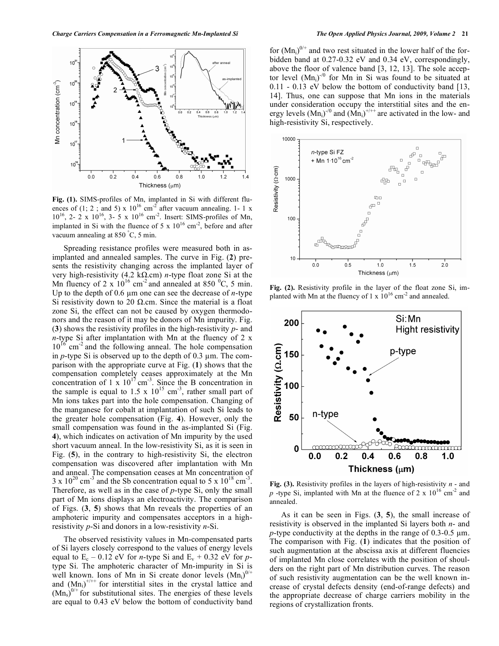

**Fig. (1).** SIMS-profiles of Mn, implanted in Si with different fluences of (1; 2; and 5) x  $10^{16}$  cm<sup>-2</sup> after vacuum annealing. 1- 1 x  $10^{16}$ , 2- 2 x  $10^{16}$ , 3- 5 x  $10^{16}$  cm<sup>-2</sup>. Insert: SIMS-profiles of Mn, implanted in Si with the fluence of 5 x  $10^{16}$  cm<sup>-2</sup>, before and after vacuum annealing at  $850^{\circ}$ C, 5 min.

 Spreading resistance profiles were measured both in asimplanted and annealed samples. The curve in Fig. (**2**) presents the resistivity changing across the implanted layer of very high-resistivity (4.2 k $\Omega$ .cm) *n*-type float zone Si at the Mn fluency of 2 x  $10^{16}$  cm<sup>-2</sup> and annealed at 850 <sup>o</sup>C, 5 min. Up to the depth of  $0.6 \mu m$  one can see the decrease of *n*-type Si resistivity down to 20  $\Omega$  cm. Since the material is a float zone Si, the effect can not be caused by oxygen thermodonors and the reason of it may be donors of Mn impurity. Fig. (**3**) shows the resistivity profiles in the high-resistivity *p*- and *n*-type Si after implantation with Mn at the fluency of 2 x  $10^{16}$  cm<sup>-2</sup> and the following anneal. The hole compensation in  $p$ -type Si is observed up to the depth of 0.3  $\mu$ m. The comparison with the appropriate curve at Fig. (**1**) shows that the compensation completely ceases approximately at the Mn concentration of  $1 \times 10^{17}$  cm<sup>-3</sup>. Since the B concentration in the sample is equal to 1.5 x  $10^{15}$  cm<sup>-3</sup>, rather small part of Mn ions takes part into the hole compensation. Changing of the manganese for cobalt at implantation of such Si leads to the greater hole compensation (Fig. **4**). However, only the small compensation was found in the as-implanted Si (Fig. **4**), which indicates on activation of Mn impurity by the used short vacuum anneal. In the low-resistivity Si, as it is seen in Fig. (**5**), in the contrary to high-resistivity Si, the electron compensation was discovered after implantation with Mn and anneal. The compensation ceases at Mn concentration of  $3 \times 10^{20}$  cm<sup>-3</sup> and the Sb concentration equal to 5 x  $10^{18}$  cm<sup>-3</sup>. Therefore, as well as in the case of *p*-type Si, only the small part of Mn ions displays an electroactivity. The comparison of Figs. (**3**, **5**) shows that Mn reveals the properties of an amphoteric impurity and compensates acceptors in a highresistivity *p*-Si and donors in a low-resistivity *n*-Si.

 The observed resistivity values in Mn-compensated parts of Si layers closely correspond to the values of energy levels equal to  $E_c$  – 0.12 eV for *n*-type Si and  $E_v$  + 0.32 eV for *p*type Si. The amphoteric character of Mn-impurity in Si is well known. Ions of Mn in Si create donor levels  $(Mn_i)^{0/+}$ and  $(Mn_i)^{+/++}$  for interstitial sites in the crystal lattice and  $(Mn<sub>s</sub>)<sup>0/+</sup>$  for substitutional sites. The energies of these levels are equal to 0.43 eV below the bottom of conductivity band

for  $(Mn_i)^{0/+}$  and two rest situated in the lower half of the forbidden band at 0.27-0.32 eV and 0.34 eV, correspondingly, above the floor of valence band [3, 12, 13]. The sole acceptor level  $(Mn_i)^{1/0}$  for Mn in Si was found to be situated at 0.11 - 0.13 eV below the bottom of conductivity band [13, 14]. Thus, one can suppose that Mn ions in the materials under consideration occupy the interstitial sites and the energy levels  $(Mn_i)^{1/0}$  and  $(Mn_i)^{+/++}$  are activated in the low- and high-resistivity Si, respectively.



**Fig. (2).** Resistivity profile in the layer of the float zone Si, implanted with Mn at the fluency of 1 x  $10^{16}$  cm<sup>-2</sup> and annealed.



**Fig. (3).** Resistivity profiles in the layers of high-resistivity *n* - and *p* -type Si, implanted with Mn at the fluence of 2 x  $10^{16}$  cm<sup>-2</sup> and annealed.

 As it can be seen in Figs. (**3**, **5**), the small increase of resistivity is observed in the implanted Si layers both *n*- and  $p$ -type conductivity at the depths in the range of 0.3-0.5  $\mu$ m. The comparison with Fig. (**1**) indicates that the position of such augmentation at the abscissa axis at different fluencies of implanted Mn close correlates with the position of shoulders on the right part of Mn distribution curves. The reason of such resistivity augmentation can be the well known increase of crystal defects density (end-of-range defects) and the appropriate decrease of charge carriers mobility in the regions of crystallization fronts.